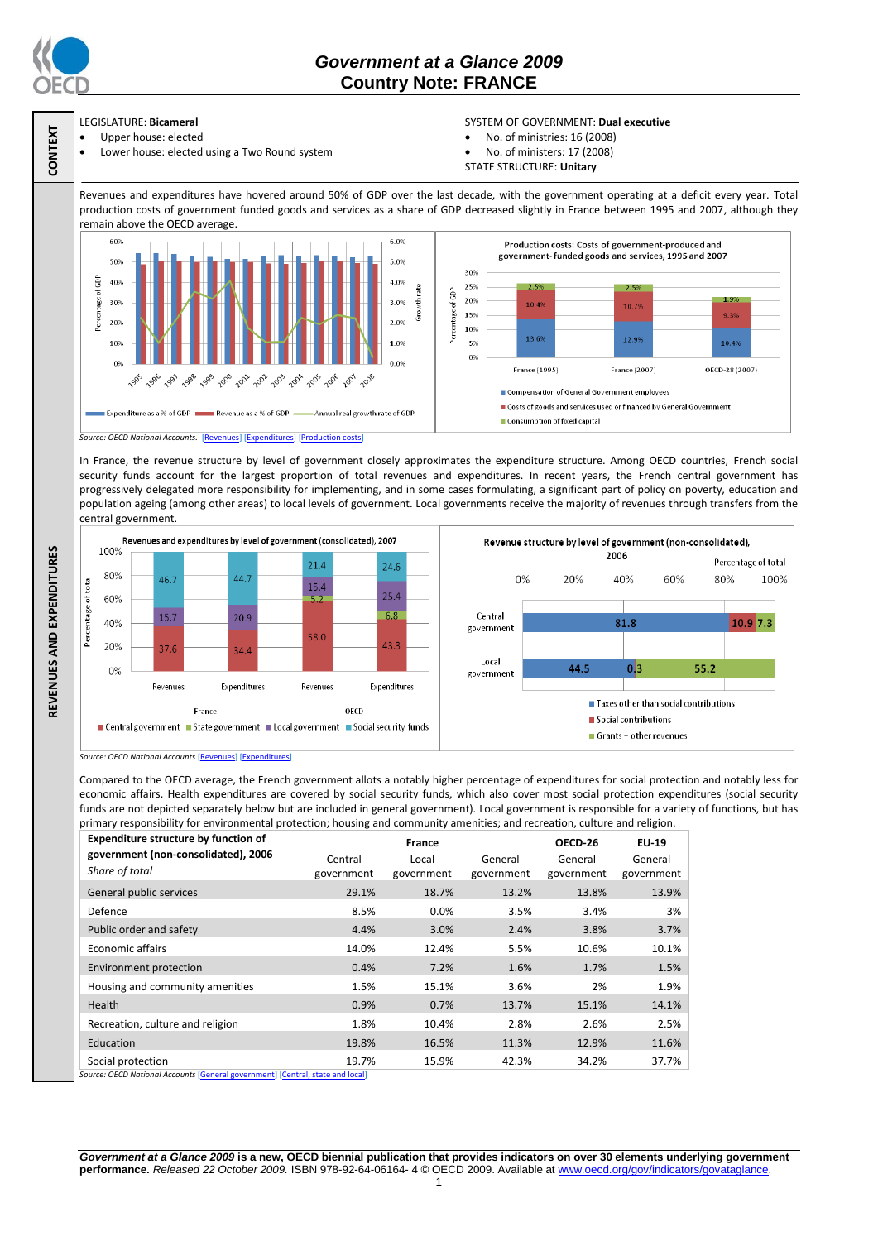

**CONTEXT**

**REVENUES AND EXPENDITURES**

REVENUES AND EXPENDITURES

# *Government at a Glance 2009*  **Country Note: FRANCE**

### LEGISLATURE: **Bicameral** Upper house: elected

Lower house: elected using a Two Round system

## SYSTEM OF GOVERNMENT: **Dual executive**

- No. of ministries: 16 (2008)
- No. of ministers: 17 (2008)
- STATE STRUCTURE: **Unitary**

Revenues and expenditures have hovered around 50% of GDP over the last decade, with the government operating at a deficit every year. Total production costs of government funded goods and services as a share of GDP decreased slightly in France between 1995 and 2007, although they remain above the OECD average.



*Source: OECD National Accounts.* [\[Revenues\]](http://dx.doi.org/10.1787/723364536124) [\[Expenditures\]](http://dx.doi.org/10.1787/723433536816) [\[Production](http://dx.doi.org/10.1787/723610442353) costs]

In France, the revenue structure by level of government closely approximates the expenditure structure. Among OECD countries, French social security funds account for the largest proportion of total revenues and expenditures. In recent years, the French central government has progressively delegated more responsibility for implementing, and in some cases formulating, a significant part of policy on poverty, education and population ageing (among other areas) to local levels of government. Local governments receive the majority of revenues through transfers from the central government.



*Source: OECD National Accounts* [\[Revenues\]](http://dx.doi.org/10.1787/723418413857) [\[Expenditures\]](http://dx.doi.org/10.1787/723508524025)

Compared to the OECD average, the French government allots a notably higher percentage of expenditures for social protection and notably less for economic affairs. Health expenditures are covered by social security funds, which also cover most social protection expenditures (social security funds are not depicted separately below but are included in general government). Local government is responsible for a variety of functions, but has primary responsibility for environmental protection; housing and community amenities; and recreation, culture and religion.

| <b>Expenditure structure by function of</b> | France     |            |            | OECD-26    | <b>EU-19</b> |
|---------------------------------------------|------------|------------|------------|------------|--------------|
| government (non-consolidated), 2006         | Central    | Local      | General    | General    | General      |
| Share of total                              | government | government | government | government | government   |
| General public services                     | 29.1%      | 18.7%      | 13.2%      | 13.8%      | 13.9%        |
| Defence                                     | 8.5%       | 0.0%       | 3.5%       | 3.4%       | 3%           |
| Public order and safety                     | 4.4%       | 3.0%       | 2.4%       | 3.8%       | 3.7%         |
| Economic affairs                            | 14.0%      | 12.4%      | 5.5%       | 10.6%      | 10.1%        |
| Environment protection                      | 0.4%       | 7.2%       | 1.6%       | 1.7%       | 1.5%         |
| Housing and community amenities             | 1.5%       | 15.1%      | 3.6%       | 2%         | 1.9%         |
| Health                                      | 0.9%       | 0.7%       | 13.7%      | 15.1%      | 14.1%        |
| Recreation, culture and religion            | 1.8%       | 10.4%      | 2.8%       | 2.6%       | 2.5%         |
| Education                                   | 19.8%      | 16.5%      | 11.3%      | 12.9%      | 11.6%        |
| Social protection                           | 19.7%      | 15.9%      | 42.3%      | 34.2%      | 37.7%        |

*Source: OECD National Accounts* [\[General government\]](http://dx.doi.org/10.1787/723501646741) [Central, state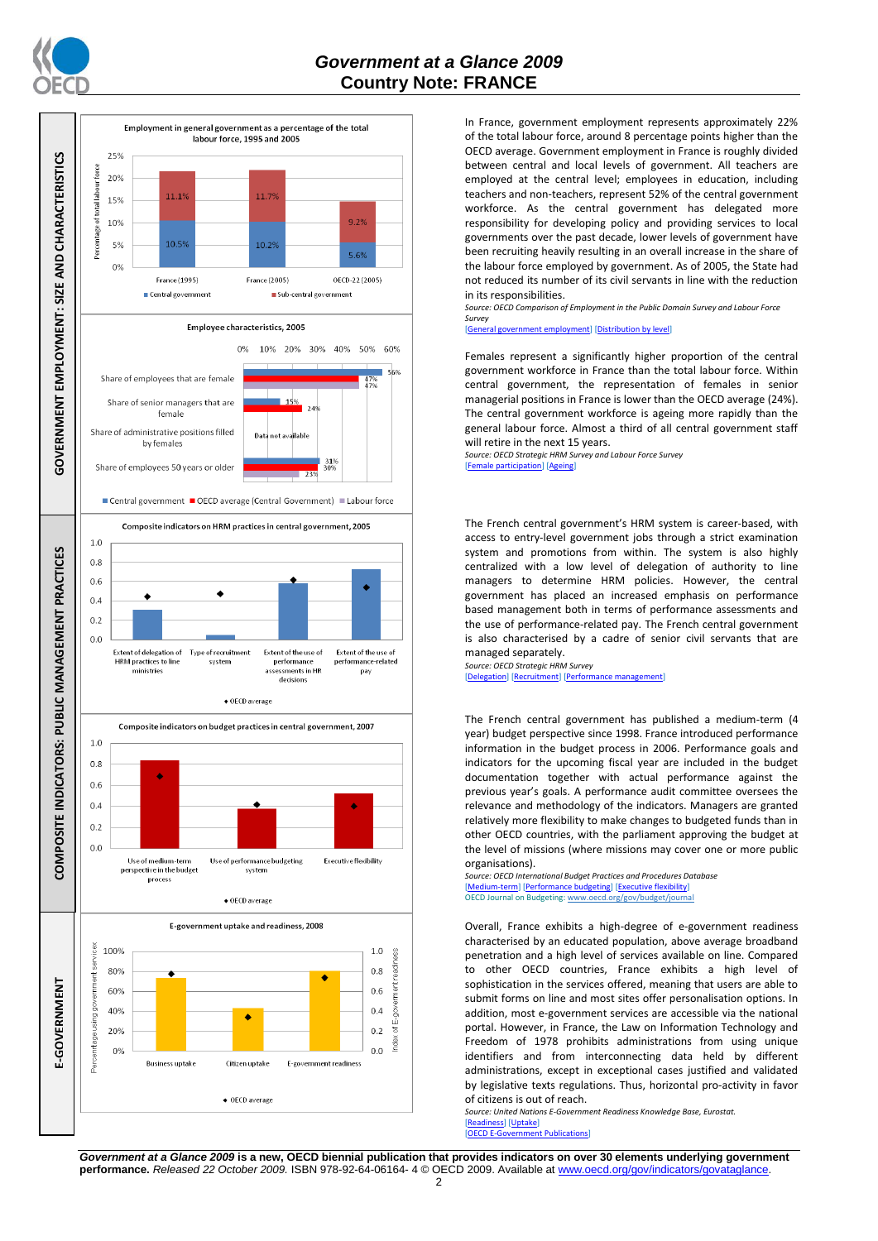



In France, government employment represents approximately 22% of the total labour force, around 8 percentage points higher than the OECD average. Government employment in France is roughly divided between central and local levels of government. All teachers are employed at the central level; employees in education, including teachers and non-teachers, represent 52% of the central government workforce. As the central government has delegated more responsibility for developing policy and providing services to local governments over the past decade, lower levels of government have been recruiting heavily resulting in an overall increase in the share of the labour force employed by government. As of 2005, the State had not reduced its number of its civil servants in line with the reduction in its responsibilities.

*Source: OECD Comparison of Employment in the Public Domain Survey and Labour Force Survey*

[\[General government employment\]](http://dx.doi.org/10.1787/723622503117) [\[Distribution by level\]](http://dx.doi.org/10.1787/723627140760)

Females represent a significantly higher proportion of the central government workforce in France than the total labour force. Within central government, the representation of females in senior managerial positions in France is lower than the OECD average (24%). The central government workforce is ageing more rapidly than the general labour force. Almost a third of all central government staff will retire in the next 15 years.

*Source: OECD Strategic HRM Survey and Labour Force Survey* [\[Female participation\]](http://dx.doi.org/10.1787/723642841533) [\[Ageing\]](http://dx.doi.org/10.1787/723656070327)

The French central government's HRM system is career-based, with access to entry-level government jobs through a strict examination system and promotions from within. The system is also highly centralized with a low level of delegation of authority to line managers to determine HRM policies. However, the central government has placed an increased emphasis on performance based management both in terms of performance assessments and the use of performance-related pay. The French central government is also characterised by a cadre of senior civil servants that are managed separately.

*Source: OECD Strategic HRM Survey* [\[Delegation\]](http://dx.doi.org/10.1787/723663744332) [\[Recruitment\]](http://dx.doi.org/10.1787/723668744361) [\[Performance management\]](http://dx.doi.org/10.1787/723750171710)

The French central government has published a medium-term (4 year) budget perspective since 1998. France introduced performance information in the budget process in 2006. Performance goals and indicators for the upcoming fiscal year are included in the budget documentation together with actual performance against the previous year's goals. A performance audit committee oversees the relevance and methodology of the indicators. Managers are granted relatively more flexibility to make changes to budgeted funds than in other OECD countries, with the parliament approving the budget at the level of missions (where missions may cover one or more public organisations).

*Source: OECD International Budget Practices and Procedures Database* [\[Medium-term\]](http://dx.doi.org/10.1787/723856770865) [\[Performance budgeting\]](http://dx.doi.org/10.1787/723863437686) [\[Executive flexibility\]](http://dx.doi.org/10.1787/723876713213) OECD Journal on Budgeting[: www.oecd.org/gov/budget/journal](http://www.oecd.org/gov/budget/journal)

Overall, France exhibits a high-degree of e-government readiness characterised by an educated population, above average broadband penetration and a high level of services available on line. Compared to other OECD countries, France exhibits a high level of sophistication in the services offered, meaning that users are able to submit forms on line and most sites offer personalisation options. In addition, most e-government services are accessible via the national portal. However, in France, the Law on Information Technology and Freedom of 1978 prohibits administrations from using unique identifiers and from interconnecting data held by different administrations, except in exceptional cases justified and validated by legislative texts regulations. Thus, horizontal pro-activity in favor of citizens is out of reach.

*Source: United Nations E-Government Readiness Knowledge Base, Eurostat.* [\[Readiness\]](http://dx.doi.org/10.1787/724248078408) [\[Uptake\]](http://dx.doi.org/10.1787/724264662272)  $[OFCDF-G]$ 

*Government at a Glance 2009* **is a new, OECD biennial publication that provides indicators on over 30 elements underlying government performance.** *Released 22 October 2009.* ISBN 978-92-64-06164- 4 © OECD 2009. Available at www.oecd.org/gov/indicators/govataglance.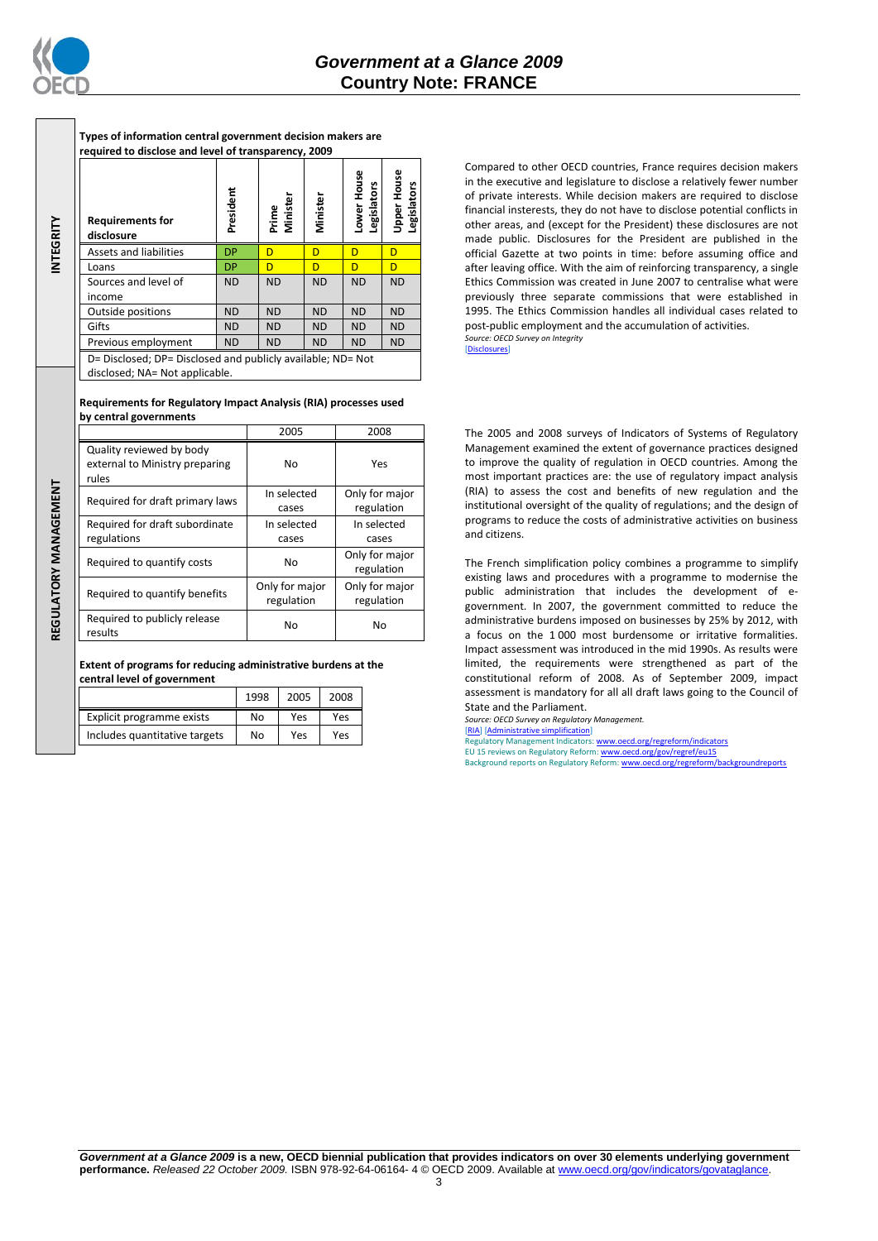

**INTEGRITY**

**REGULATORY MANAGEMENT**REGULATORY MANAGEMENT

**Types of information central government decision makers are required to disclose and level of transparency, 2009**

|                                                                                               | <b>Requirements for</b><br>disclosure | President | Prime<br>Minister | Minister  | Lower House<br>Legislators | <b>Upper House</b><br>Legislators |
|-----------------------------------------------------------------------------------------------|---------------------------------------|-----------|-------------------|-----------|----------------------------|-----------------------------------|
|                                                                                               | <b>Assets and liabilities</b>         | <b>DP</b> | D                 | D         | D                          | D                                 |
|                                                                                               | Loans                                 | <b>DP</b> | D                 | D         | D                          | D                                 |
|                                                                                               | Sources and level of                  | <b>ND</b> | <b>ND</b>         | <b>ND</b> | <b>ND</b>                  | <b>ND</b>                         |
|                                                                                               | income                                |           |                   |           |                            |                                   |
|                                                                                               | Outside positions                     | <b>ND</b> | <b>ND</b>         | <b>ND</b> | <b>ND</b>                  | <b>ND</b>                         |
|                                                                                               | Gifts                                 | <b>ND</b> | <b>ND</b>         | <b>ND</b> | <b>ND</b>                  | <b>ND</b>                         |
|                                                                                               | Previous employment                   | <b>ND</b> | <b>ND</b>         | <b>ND</b> | <b>ND</b>                  | <b>ND</b>                         |
| D= Disclosed; DP= Disclosed and publicly available; ND= Not<br>disclosed; NA= Not applicable. |                                       |           |                   |           |                            |                                   |

### **Requirements for Regulatory Impact Analysis (RIA) processes used by central governments**

|                                                                     | 2005                         | 2008                         |
|---------------------------------------------------------------------|------------------------------|------------------------------|
| Quality reviewed by body<br>external to Ministry preparing<br>rules | No                           | Yes                          |
| Required for draft primary laws                                     | In selected<br>cases         | Only for major<br>regulation |
| Required for draft subordinate<br>regulations                       | In selected<br>cases         | In selected<br>cases         |
| Required to quantify costs                                          | No                           | Only for major<br>regulation |
| Required to quantify benefits                                       | Only for major<br>regulation | Only for major<br>regulation |
| Required to publicly release<br>results                             | No                           | No                           |

**Extent of programs for reducing administrative burdens at the central level of government**

|                               | 1998 | 2005 | 2008 |
|-------------------------------|------|------|------|
| Explicit programme exists     | No   | Yes  | Yes  |
| Includes quantitative targets | No   | Yes  | Yes  |

Compared to other OECD countries, France requires decision makers in the executive and legislature to disclose a relatively fewer number of private interests. While decision makers are required to disclose financial insterests, they do not have to disclose potential conflicts in other areas, and (except for the President) these disclosures are not made public. Disclosures for the President are published in the official Gazette at two points in time: before assuming office and after leaving office. With the aim of reinforcing transparency, a single Ethics Commission was created in June 2007 to centralise what were previously three separate commissions that were established in 1995. The Ethics Commission handles all individual cases related to post-public employment and the accumulation of activities. *Source: OECD Survey on Integrity*

[\[Disclosures\]](http://dx.doi.org/10.1787/724123642681)

The 2005 and 2008 surveys of Indicators of Systems of Regulatory Management examined the extent of governance practices designed to improve the quality of regulation in OECD countries. Among the most important practices are: the use of regulatory impact analysis (RIA) to assess the cost and benefits of new regulation and the institutional oversight of the quality of regulations; and the design of programs to reduce the costs of administrative activities on business and citizens.

The French simplification policy combines a programme to simplify existing laws and procedures with a programme to modernise the public administration that includes the development of egovernment. In 2007, the government committed to reduce the administrative burdens imposed on businesses by 25% by 2012, with a focus on the 1 000 most burdensome or irritative formalities. Impact assessment was introduced in the mid 1990s. As results were limited, the requirements were strengthened as part of the constitutional reform of 2008. As of September 2009, impact assessment is mandatory for all all draft laws going to the Council of State and the Parliament.

*Source: OECD Survey on Regulatory Management.*

[\[RIA\]](http://dx.doi.org/10.1787/724045144354) [\[Administrative simplification\]](http://dx.doi.org/10.1787/724058851054) Regulatory Management Indicators[: www.oecd.org/regreform/indicators](http://www.oecd.org/regreform/indicators)

EU 15 reviews on Regulatory Reform[: www.oecd.org/gov/regref/eu15](http://www.oecd.org/gov/regref/eu15) Background reports on Regulatory Reform[: www.oecd.org/regreform/backgroundreports](http://www.oecd.org/regreform/backgroundreports)